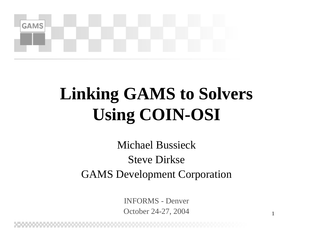

#### **Linking GAMS to Solvers Using COIN-OSI**

Michael BussieckSteve DirkseGAMS Development Corporation

> INFORMS -DenverOctober 24-27, 2004

1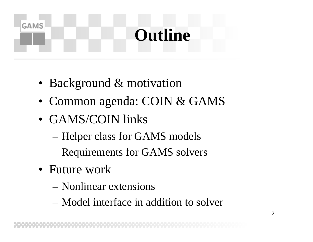#### **Outline**

- Background & motivation
- Common agenda: COIN & GAMS
- GAMS/COIN links
	- –Helper class for GAMS models
	- –Requirements for GAMS solvers
- Future work

- Nonlinear extensions
- Model interface in addition to solver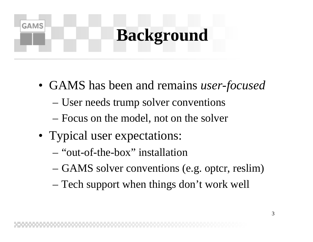#### **Background**

- GAMS has been and remains *user-focused*
	- User needs trump solver conventions
	- Focus on the model, not on the solver
- Typical user expectations:

- –"out-of-the-box" installation
- GAMS solver conventions (e.g. optcr, reslim)
- Tech support when things don't work well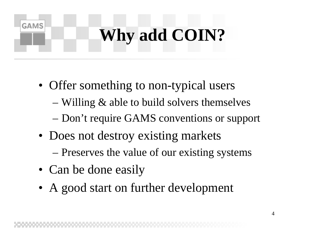# **Why add COIN?**

- Offer something to non-typical users
	- Willing & able to build solvers themselves – Don't require GAMS conventions or support
- Does not destroy existing markets – Preserves the value of our existing systems
- Can be done easily

**GAMS** 

• A good start on further development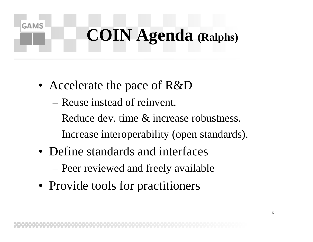# **COIN Agenda (Ralphs)**

• Accelerate the pace of R&D

- –Reuse instead of reinvent.
- –Reduce dev. time & increase robustness.
- Increase interoperability (open standards).
- Define standards and interfaces
	- Peer reviewed and freely available
- Provide tools for practitioners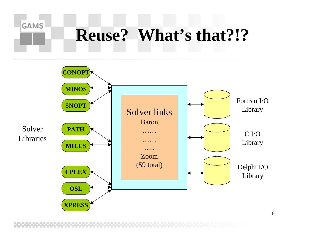## **Reuse? What's that?!?**

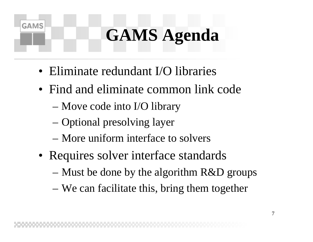### **GAMS Agenda**

- Eliminate redundant I/O libraries
- Find and eliminate common link code
	- Move code into I/O library

- Optional presolving layer
- –More uniform interface to solvers
- Requires solver interface standards
	- Must be done by the algorithm R&D groups
	- We can facilitate this, bring them together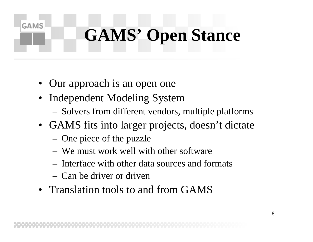# **GAMS' Open Stance**

• Our approach is an open one

- Independent Modeling System
	- Solvers from different vendors, multiple platforms
- GAMS fits into larger projects, doesn't dictate
	- One piece of the puzzle
	- –We must work well with other software
	- –Interface with other data sources and formats
	- –Can be driver or driven
- Translation tools to and from GAMS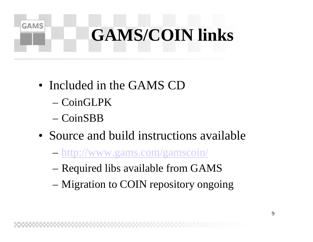#### **GAMS GAMS/COIN links**

- Included in the GAMS CD
	- –CoinGLPK
	- –CoinSBB
- Source and build instructions available
	- <http://www.gams.com/gamscoin/>
	- Required libs available from GAMS
	- Migration to COIN repository ongoing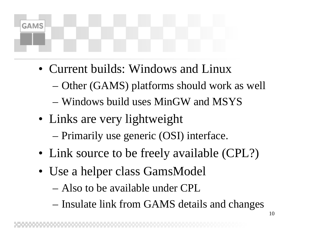# **GAMS**

- Current builds: Windows and Linux
	- Other (GAMS) platforms should work as well
	- Windows build uses MinGW and MSYS
- Links are very lightweight

Primarily use generic (OSI) interface.

- Link source to be freely available (CPL?)
- Use a helper class GamsModel
	- Also to be available under CPL
	- –– Insulate link from GAMS details and changes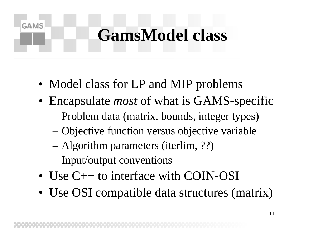#### **GamsModel class**

- Model class for LP and MIP problems
- Encapsulate *most* of what is GAMS-specific – Problem data (matrix, bounds, integer types)
	- Objective function versus objective variable
	- Algorithm parameters (iterlim, ??)
	- Input/output conventions

- Use C++ to interface with COIN-OSI
- Use OSI compatible data structures (matrix)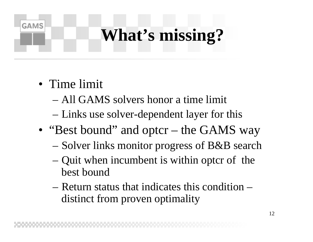### **What's missing?**

• Time limit

- –All GAMS solvers honor a time limit
- Links use solver-dependent layer for this
- "Best bound" and optcr – the GAMS way
	- Solver links monitor progress of B&B search
	- Quit when incumbent is within optcr of the best bound
	- –Return status that indicates this condition –distinct from proven optimality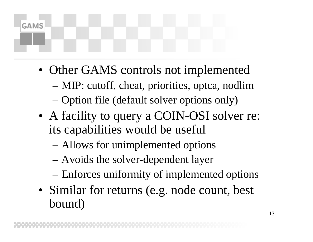- Other GAMS controls not implemented
	- MIP: cutoff, cheat, priorities, optca, nodlim
	- –Option file (default solver options only)
- A facility to query a COIN-OSI solver re: its capabilities would be useful
	- Allows for unimplemented options
	- –Avoids the solver-dependent layer
	- Enforces uniformity of implemented options
- Similar for returns (e.g. node count, best bound)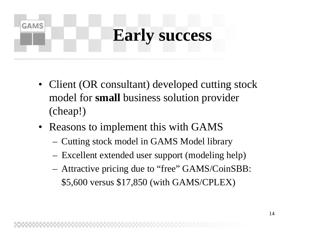#### **GAMS Early success**

- Client (OR consultant) developed cutting stock model for **small** business solution provider (cheap!)
- Reasons to implement this with GAMS
	- Cutting stock model in GAMS Model library
	- Excellent extended user support (modeling help)
	- Attractive pricing due to "free" GAMS/CoinSBB: \$5,600 versus \$17,850 (with GAMS/CPLEX)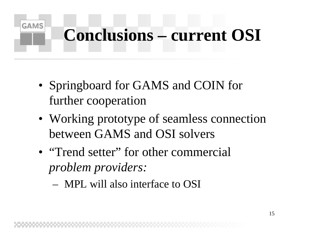### **Conclusions – current OSI**

• Springboard for GAMS and COIN for further cooperation

- Working prototype of seamless connection between GAMS and OSI solvers
- "Trend setter" for other commercial *problem providers:*
	- –MPL will also interface to OSI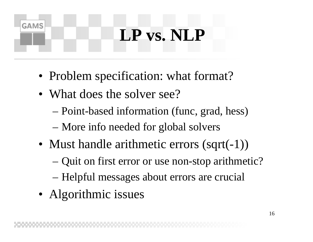#### **LP vs. NLP**

- Problem specification: what format?
- What does the solver see?

- Point-based information (func, grad, hess)
- More info needed for global solvers
- Must handle arithmetic errors (sqrt(-1))
	- –Quit on first error or use non-stop arithmetic?
	- Helpful messages about errors are crucial
- Algorithmic issues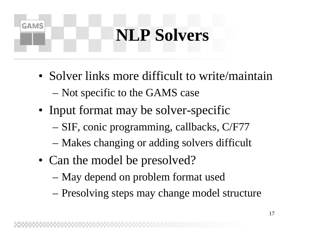#### **NLP Solvers**

- Solver links more difficult to write/maintain – Not specific to the GAMS case
- Input format may be solver-specific
	- SIF, conic programming, callbacks, C/F77
	- Makes changing or adding solvers difficult
- Can the model be presolved?

- May depend on problem format used
- Presolving steps may change model structure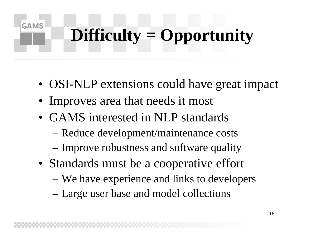# **Difficulty = Opportunity**

- OSI-NLP extensions could have great impact
- Improves area that needs it most

- GAMS interested in NLP standards
	- Reduce development/maintenance costs
	- Improve robustness and software quality
- Standards must be a cooperative effort
	- We have experience and links to developers
	- Large user base and model collections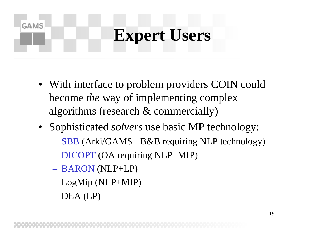#### **Expert Users**

- With interface to problem providers COIN could become *the* way of implementing complex algorithms (research & commercially)
- Sophisticated *solvers* use basic MP technology:
	- S B B (Arki/GAMS B&B requiring NLP technology)
	- DICOPT (OA requiring NLP+MIP)
	- BARON (NLP+LP)
	- LogMip (NLP+MIP)
	- D E A ( L P )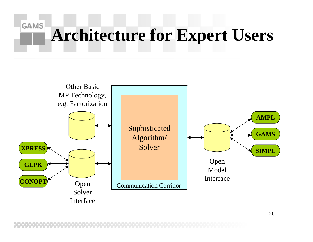#### **GAMS Architecture for Expert Users**